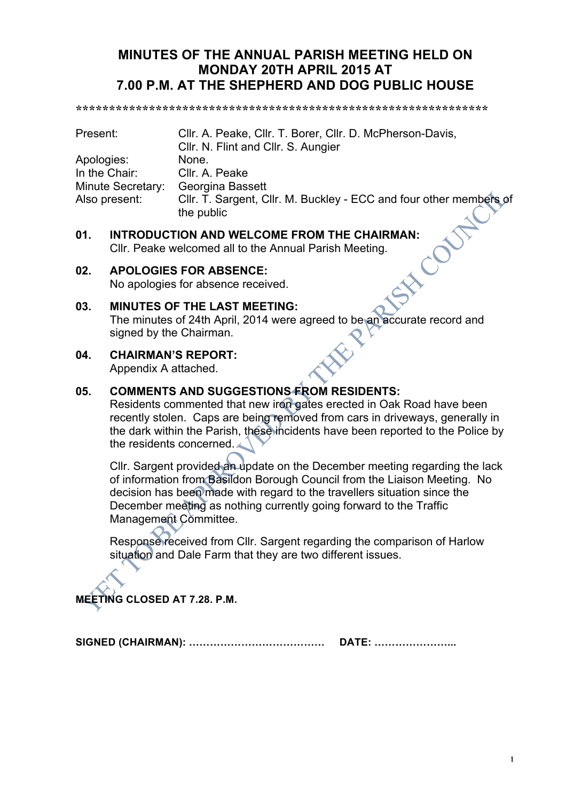# **MINUTES OF THE ANNUAL PARISH MEETING HELD ON MONDAY 20TH APRIL 2015 AT 7.00 P.M. AT THE SHEPHERD AND DOG PUBLIC HOUSE**

**\*\*\*\*\*\*\*\*\*\*\*\*\*\*\*\*\*\*\*\*\*\*\*\*\*\*\*\*\*\*\*\*\*\*\*\*\*\*\*\*\*\*\*\*\*\*\*\*\*\*\*\*\*\*\*\*\*\*\*\*\*\***

| Present:          | Cllr. A. Peake, Cllr. T. Borer, Cllr. D. McPherson-Davis,          |  |
|-------------------|--------------------------------------------------------------------|--|
|                   | CIIr. N. Flint and CIIr. S. Aungier                                |  |
| Apologies:        | None.                                                              |  |
| In the Chair:     | Cllr. A. Peake                                                     |  |
| Minute Secretary: | <b>Georgina Bassett</b>                                            |  |
| Also present:     | Cllr. T. Sargent, Cllr. M. Buckley - ECC and four other members of |  |
|                   | the public                                                         |  |

**01.** INTRODUCTION AND WELCOME FROM THE CHAIRMAN:<br>Cllr. Peake welcomed all to the Annual Parish Meeting.<br>**02.** APOLOGIES FOR ARSENCE Cllr. Peake welcomed all to the Annual Parish Meeting.

### **02. APOLOGIES FOR ABSENCE:**

No apologies for absence received.

### **03. MINUTES OF THE LAST MEETING:**

The minutes of 24th April, 2014 were agreed to be an accurate record and signed by the Chairman.

**04. CHAIRMAN'S REPORT:**

Appendix A attached.

## **05. COMMENTS AND SUGGESTIONS FROM RESIDENTS:**

Residents commented that new iron gates erected in Oak Road have been recently stolen. Caps are being removed from cars in driveways, generally in the dark within the Parish, these incidents have been reported to the Police by the residents concerned.

Cllr. Sargent provided an update on the December meeting regarding the lack of information from Basildon Borough Council from the Liaison Meeting. No decision has been made with regard to the travellers situation since the December meeting as nothing currently going forward to the Traffic Management Committee.

Response received from Cllr. Sargent regarding the comparison of Harlow situation and Dale Farm that they are two different issues.

**MEETING CLOSED AT 7.28. P.M.**

**SIGNED (CHAIRMAN): ………………………………… DATE: …………………...**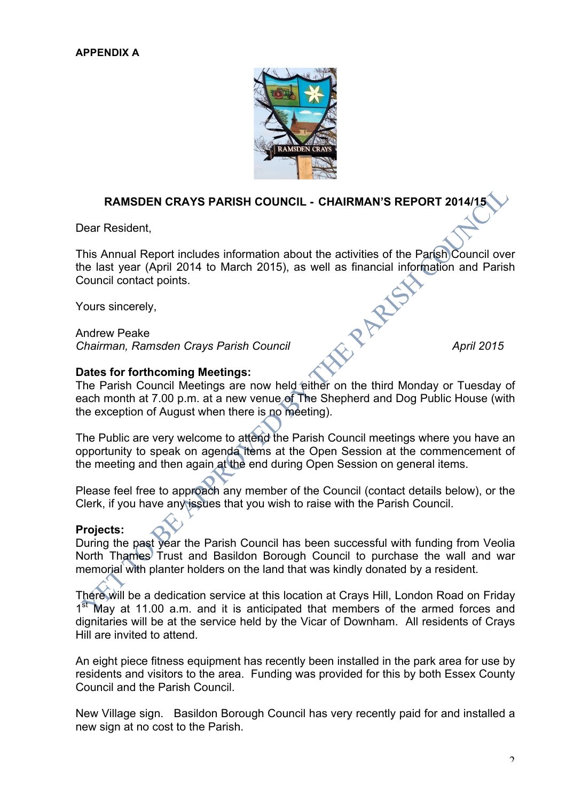

## **RAMSDEN CRAYS PARISH COUNCIL - CHAIRMAN'S REPORT 2014/15**

Dear Resident,

This Annual Report includes information about the activities of the Parish Council over the last year (April 2014 to March 2015), as well as financial information and Parish Council contact points.

Yours sincerely,

Andrew Peake *Chairman, Ramsden Crays Parish Council* **April 2015** 

### **Dates for forthcoming Meetings:**

The Parish Council Meetings are now held either on the third Monday or Tuesday of each month at 7.00 p.m. at a new venue of The Shepherd and Dog Public House (with the exception of August when there is no meeting).

The Public are very welcome to attend the Parish Council meetings where you have an opportunity to speak on agenda items at the Open Session at the commencement of the meeting and then again at the end during Open Session on general items.

Please feel free to approach any member of the Council (contact details below), or the Clerk, if you have any issues that you wish to raise with the Parish Council.

### **Projects:**

During the past year the Parish Council has been successful with funding from Veolia North Thames Trust and Basildon Borough Council to purchase the wall and war memorial with planter holders on the land that was kindly donated by a resident.

There will be a dedication service at this location at Crays Hill, London Road on Friday  $1<sup>st</sup>$  May at 11.00 a.m. and it is anticipated that members of the armed forces and dignitaries will be at the service held by the Vicar of Downham. All residents of Crays Hill are invited to attend.

An eight piece fitness equipment has recently been installed in the park area for use by residents and visitors to the area. Funding was provided for this by both Essex County Council and the Parish Council.

New Village sign. Basildon Borough Council has very recently paid for and installed a new sign at no cost to the Parish.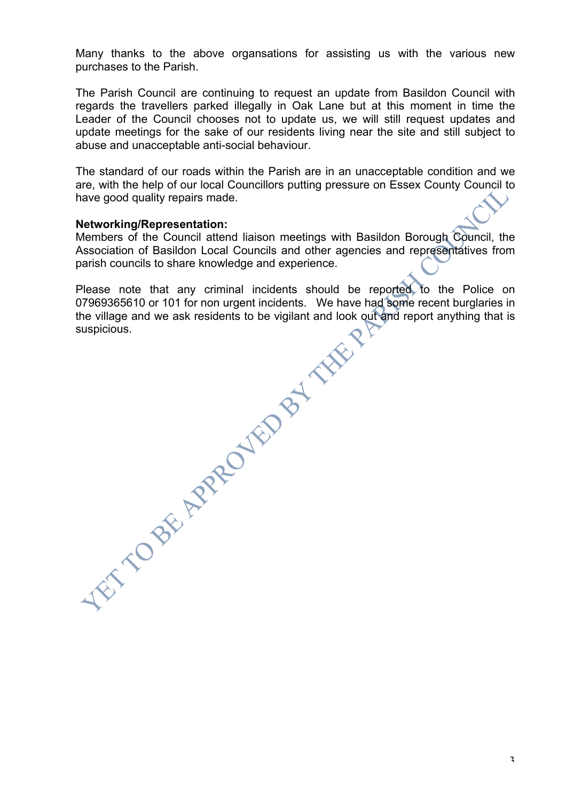Many thanks to the above organsations for assisting us with the various new purchases to the Parish.

The Parish Council are continuing to request an update from Basildon Council with regards the travellers parked illegally in Oak Lane but at this moment in time the Leader of the Council chooses not to update us, we will still request updates and update meetings for the sake of our residents living near the site and still subject to abuse and unacceptable anti-social behaviour.

The standard of our roads within the Parish are in an unacceptable condition and we are, with the help of our local Councillors putting pressure on Essex County Council to have good quality repairs made.

#### **Networking/Representation:**

Members of the Council attend liaison meetings with Basildon Borough Council, the Association of Basildon Local Councils and other agencies and representatives from parish councils to share knowledge and experience.

Please note that any criminal incidents should be reported to the Police on 07969365610 or 101 for non urgent incidents. We have had some recent burglaries in the village and we ask residents to be vigilant and look out and report anything that is suspicious.<br>
Suspicious.<br>
Suspicious.<br>
Suspicious.<br>
Suspicious.<br>
Suspicious.<br>
And the vigilant and look out<br>
And the vigilant and look out<br>
And the vigilant and look out<br>
And the vigilant and look out<br>
And the vigilant and